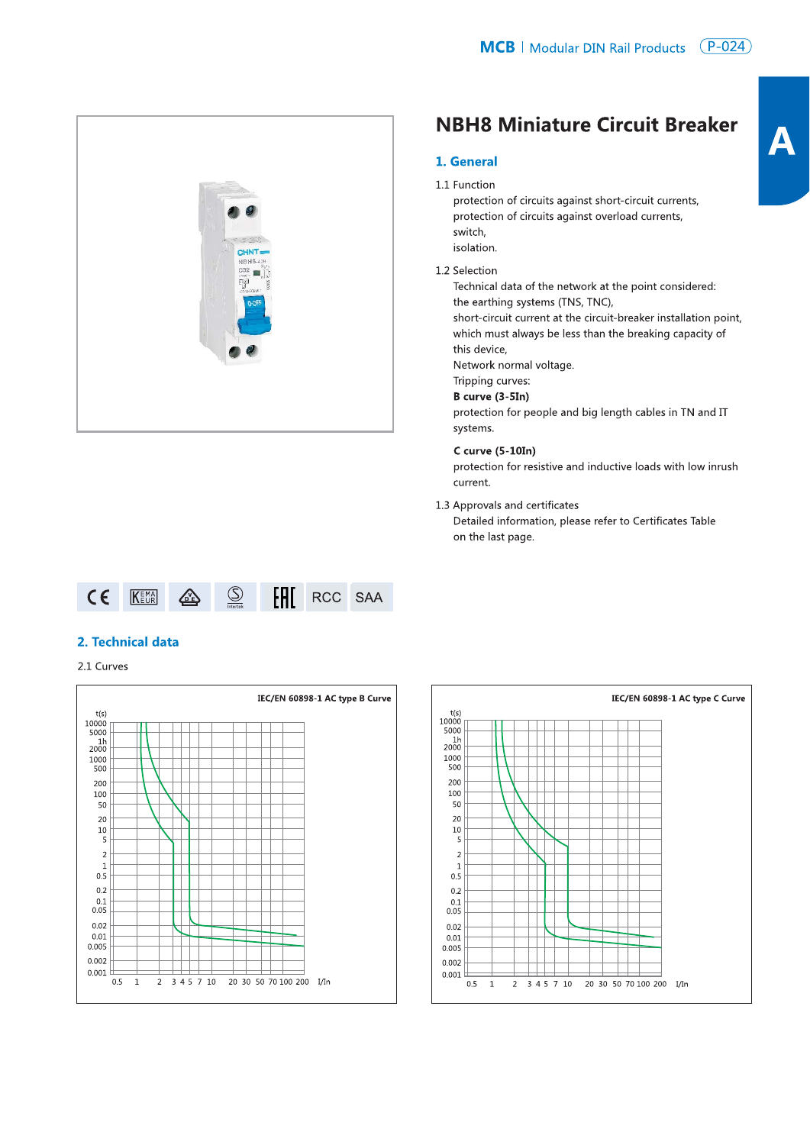

# **NBH8 Miniature Circuit Breaker**

### 1. General

#### 1.1 Function

protection of circuits against short-circuit currents, protection of circuits against overload currents, switch, isolation.

#### 1.2 Selection

Technical data of the network at the point considered: the earthing systems (TNS, TNC),

short-circuit current at the circuit-breaker installation point, which must always be less than the breaking capacity of this device,

Network normal voltage.

Tripping curves:

## B curve (3-5In)

protection for people and big length cables in TN and IT systems.

#### $C$  curve  $(5-10In)$

protection for resistive and inductive loads with low inrush current.

1.3 Approvals and certificates

Detailed information, please refer to Certificates Table on the last page.



## 2. Technical data

2.1 Curves